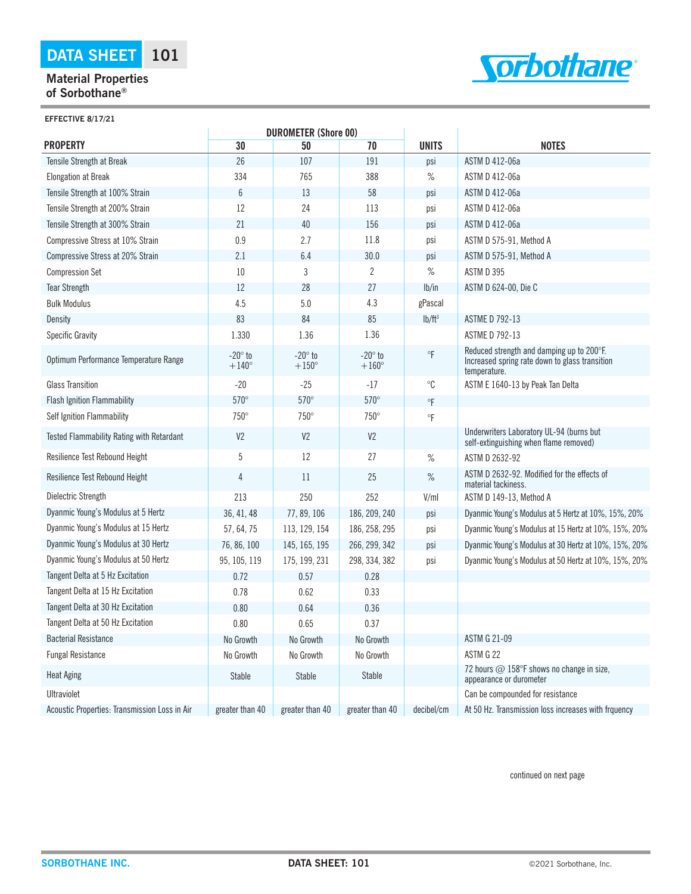## **Material Properties of Sorbothane®**



| <b>EFFECTIVE 8/17/21</b>                  |                                               |                                |                                |                     |                                                                                                             |  |  |  |  |
|-------------------------------------------|-----------------------------------------------|--------------------------------|--------------------------------|---------------------|-------------------------------------------------------------------------------------------------------------|--|--|--|--|
| <b>PROPERTY</b>                           | <b>DUROMETER (Shore 00)</b><br>70<br>30<br>50 |                                |                                | <b>UNITS</b>        | <b>NOTES</b>                                                                                                |  |  |  |  |
| Tensile Strength at Break                 | 26                                            | 107                            | 191                            | psi                 | ASTM D 412-06a                                                                                              |  |  |  |  |
| <b>Elongation at Break</b>                | 334                                           | 765                            | 388                            | $\%$                | ASTM D 412-06a                                                                                              |  |  |  |  |
| Tensile Strength at 100% Strain           | $\boldsymbol{6}$                              | 13                             | 58                             | psi                 | ASTM D 412-06a                                                                                              |  |  |  |  |
| Tensile Strength at 200% Strain           | 12                                            | 24                             | 113                            | psi                 | ASTM D 412-06a                                                                                              |  |  |  |  |
|                                           | 21                                            | 40                             | 156                            | psi                 | ASTM D 412-06a                                                                                              |  |  |  |  |
| Tensile Strength at 300% Strain           | 0.9                                           | 2.7                            | 11.8                           |                     |                                                                                                             |  |  |  |  |
| Compressive Stress at 10% Strain          | 2.1                                           | 6.4                            | 30.0                           | psi                 | ASTM D 575-91, Method A                                                                                     |  |  |  |  |
| Compressive Stress at 20% Strain          | 10                                            | 3                              | $\overline{2}$                 | psi<br>$\%$         | ASTM D 575-91, Method A<br>ASTM D 395                                                                       |  |  |  |  |
| <b>Compression Set</b>                    | 12                                            | 28                             | 27                             | lb/in               |                                                                                                             |  |  |  |  |
| <b>Tear Strength</b>                      | 4.5                                           |                                | 4.3                            |                     | ASTM D 624-00, Die C                                                                                        |  |  |  |  |
| <b>Bulk Modulus</b>                       |                                               | 5.0                            |                                | gPascal             |                                                                                                             |  |  |  |  |
| Density                                   | 83                                            | 84                             | 85                             | lb/ft <sup>3</sup>  | <b>ASTME D 792-13</b>                                                                                       |  |  |  |  |
| <b>Specific Gravity</b>                   | 1.330                                         | 1.36                           | 1.36                           |                     | <b>ASTME D 792-13</b>                                                                                       |  |  |  |  |
| Optimum Performance Temperature Range     | $-20^\circ$ to<br>$+140^\circ$                | $-20^\circ$ to<br>$+150^\circ$ | $-20^\circ$ to<br>$+160^\circ$ | $^\circ \mathsf{F}$ | Reduced strength and damping up to 200°F.<br>Increased spring rate down to glass transition<br>temperature. |  |  |  |  |
| <b>Glass Transition</b>                   | $-20$                                         | $-25$                          | $-17$                          | $^{\circ}C$         | ASTM E 1640-13 by Peak Tan Delta                                                                            |  |  |  |  |
| <b>Flash Ignition Flammability</b>        | $570^\circ$                                   | $570^\circ$                    | $570^\circ$                    | $\circ$ F           |                                                                                                             |  |  |  |  |
| Self Ignition Flammability                | 750°                                          | 750°                           | 750°                           | $\circ$ F           |                                                                                                             |  |  |  |  |
| Tested Flammability Rating with Retardant | V <sub>2</sub>                                | V <sub>2</sub>                 | V <sub>2</sub>                 |                     | Underwriters Laboratory UL-94 (burns but<br>self-extinguishing when flame removed)                          |  |  |  |  |
| Resilience Test Rebound Height            | 5                                             | 12                             | 27                             | $\%$                | ASTM D 2632-92                                                                                              |  |  |  |  |
| Resilience Test Rebound Height            | $\sqrt{4}$                                    | 11                             | 25                             | $\%$                | ASTM D 2632-92. Modified for the effects of<br>material tackiness.                                          |  |  |  |  |
| Dielectric Strength                       | 213                                           | 250                            | 252                            | V/ml                | ASTM D 149-13. Method A                                                                                     |  |  |  |  |
| Dyanmic Young's Modulus at 5 Hertz        | 36, 41, 48                                    | 77, 89, 106                    | 186, 209, 240                  | psi                 | Dyanmic Young's Modulus at 5 Hertz at 10%, 15%, 20%                                                         |  |  |  |  |
| Dyanmic Young's Modulus at 15 Hertz       | 57, 64, 75                                    | 113, 129, 154                  | 186, 258, 295                  | psi                 | Dyanmic Young's Modulus at 15 Hertz at 10%, 15%, 20%                                                        |  |  |  |  |
| Dyanmic Young's Modulus at 30 Hertz       | 76, 86, 100                                   | 145, 165, 195                  | 266, 299, 342                  | psi                 | Dyanmic Young's Modulus at 30 Hertz at 10%, 15%, 20%                                                        |  |  |  |  |
| Dyanmic Young's Modulus at 50 Hertz       | 95, 105, 119                                  | 175, 199, 231                  | 298, 334, 382                  | psi                 | Dyanmic Young's Modulus at 50 Hertz at 10%, 15%, 20%                                                        |  |  |  |  |
| Tangent Delta at 5 Hz Excitation          | 0.72                                          | 0.57                           | 0.28                           |                     |                                                                                                             |  |  |  |  |
| Tangent Delta at 15 Hz Excitation         | 0.78                                          | 0.62                           | 0.33                           |                     |                                                                                                             |  |  |  |  |
| Tangent Delta at 30 Hz Excitation         | 0.80                                          | 0.64                           | 0.36                           |                     |                                                                                                             |  |  |  |  |
| Tangent Delta at 50 Hz Excitation         | 0.80                                          | 0.65                           | 0.37                           |                     |                                                                                                             |  |  |  |  |
| <b>Bacterial Resistance</b>               | No Growth                                     | No Growth                      | No Growth                      |                     | <b>ASTM G 21-09</b>                                                                                         |  |  |  |  |
| <b>Fungal Resistance</b>                  | No Growth                                     | No Growth                      | No Growth                      |                     | ASTM G 22                                                                                                   |  |  |  |  |
| <b>Heat Aging</b>                         | Stable                                        | <b>Stable</b>                  | <b>Stable</b>                  |                     | 72 hours @ 158°F shows no change in size,<br>appearance or durometer                                        |  |  |  |  |
| <b>Ultraviolet</b>                        |                                               |                                |                                |                     | Can be compounded for resistance                                                                            |  |  |  |  |

continued on next page

Acoustic Properties: Transmission Loss in Air sequer than 40 | greater than 40 | greater than 40 | decibel/cm | At 50 Hz. Transmission loss increases with frquency